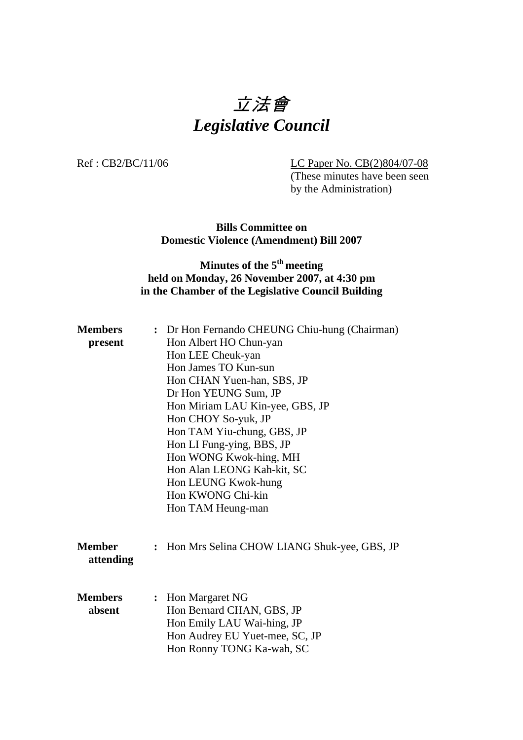# 立法會 *Legislative Council*

Ref : CB2/BC/11/06 LC Paper No. CB(2)804/07-08 (These minutes have been seen by the Administration)

> **Bills Committee on Domestic Violence (Amendment) Bill 2007**

## **Minutes of the 5<sup>th</sup> meeting held on Monday, 26 November 2007, at 4:30 pm in the Chamber of the Legislative Council Building**

| <b>Members</b><br>present  |                      | : Dr Hon Fernando CHEUNG Chiu-hung (Chairman)<br>Hon Albert HO Chun-yan<br>Hon LEE Cheuk-yan<br>Hon James TO Kun-sun<br>Hon CHAN Yuen-han, SBS, JP<br>Dr Hon YEUNG Sum, JP<br>Hon Miriam LAU Kin-yee, GBS, JP<br>Hon CHOY So-yuk, JP<br>Hon TAM Yiu-chung, GBS, JP<br>Hon LI Fung-ying, BBS, JP<br>Hon WONG Kwok-hing, MH<br>Hon Alan LEONG Kah-kit, SC<br>Hon LEUNG Kwok-hung<br>Hon KWONG Chi-kin<br>Hon TAM Heung-man |
|----------------------------|----------------------|--------------------------------------------------------------------------------------------------------------------------------------------------------------------------------------------------------------------------------------------------------------------------------------------------------------------------------------------------------------------------------------------------------------------------|
| <b>Member</b><br>attending | $\ddot{\phantom{a}}$ | Hon Mrs Selina CHOW LIANG Shuk-yee, GBS, JP                                                                                                                                                                                                                                                                                                                                                                              |
| <b>Members</b><br>absent   |                      | : Hon Margaret NG<br>Hon Bernard CHAN, GBS, JP<br>Hon Emily LAU Wai-hing, JP<br>Hon Audrey EU Yuet-mee, SC, JP<br>Hon Ronny TONG Ka-wah, SC                                                                                                                                                                                                                                                                              |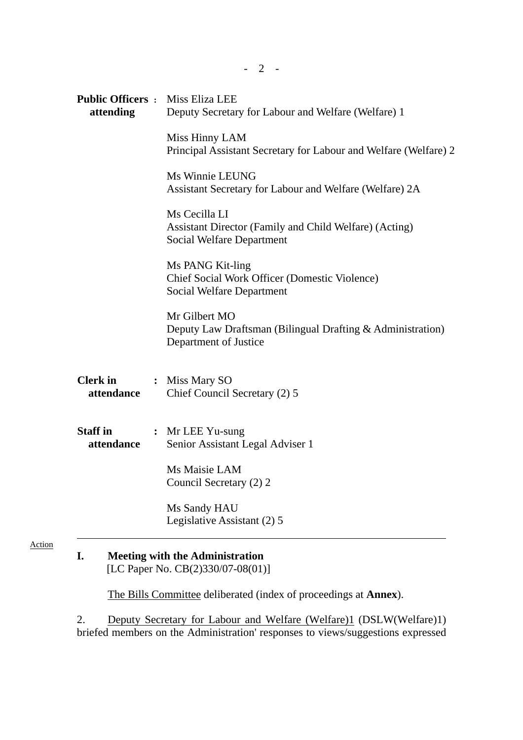| <b>Public Officers : Miss Eliza LEE</b><br>attending | Deputy Secretary for Labour and Welfare (Welfare) 1                                                  |
|------------------------------------------------------|------------------------------------------------------------------------------------------------------|
|                                                      | Miss Hinny LAM<br>Principal Assistant Secretary for Labour and Welfare (Welfare) 2                   |
|                                                      | Ms Winnie LEUNG<br>Assistant Secretary for Labour and Welfare (Welfare) 2A                           |
|                                                      | Ms Cecilla LI<br>Assistant Director (Family and Child Welfare) (Acting)<br>Social Welfare Department |
|                                                      | Ms PANG Kit-ling<br>Chief Social Work Officer (Domestic Violence)<br>Social Welfare Department       |
|                                                      | Mr Gilbert MO<br>Deputy Law Draftsman (Bilingual Drafting & Administration)<br>Department of Justice |
| <b>Clerk in :</b> Miss Mary SO<br>attendance         | Chief Council Secretary (2) 5                                                                        |
| <b>Staff in</b><br>attendance                        | : Mr LEE Yu-sung<br>Senior Assistant Legal Adviser 1                                                 |
|                                                      | Ms Maisie LAM<br>Council Secretary (2) 2                                                             |
|                                                      | Ms Sandy HAU<br>Legislative Assistant (2) 5                                                          |

**I. Meeting with the Administration**  [LC Paper No. CB(2)330/07-08(01)]

The Bills Committee deliberated (index of proceedings at **Annex**).

2. Deputy Secretary for Labour and Welfare (Welfare)1 (DSLW(Welfare)1) briefed members on the Administration' responses to views/suggestions expressed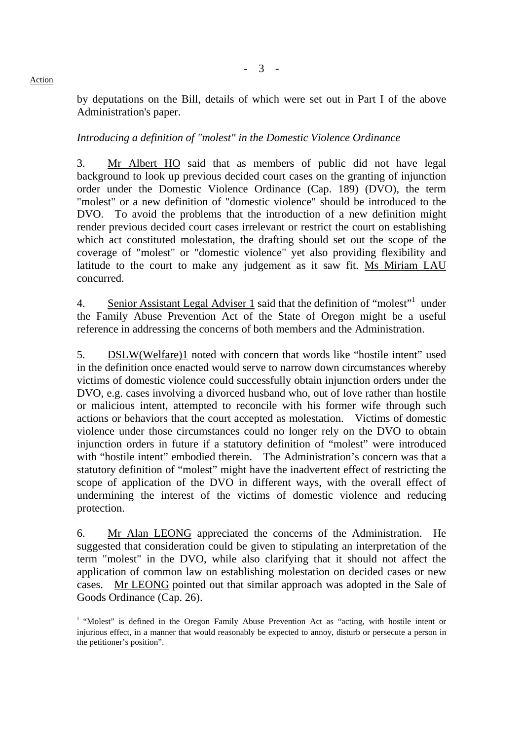#### by deputations on the Bill, details of which were set out in Part I of the above Administration's paper.

- 3 -

#### *Introducing a definition of "molest" in the Domestic Violence Ordinance*

3. Mr Albert HO said that as members of public did not have legal background to look up previous decided court cases on the granting of injunction order under the Domestic Violence Ordinance (Cap. 189) (DVO), the term "molest" or a new definition of "domestic violence" should be introduced to the DVO. To avoid the problems that the introduction of a new definition might render previous decided court cases irrelevant or restrict the court on establishing which act constituted molestation, the drafting should set out the scope of the coverage of "molest" or "domestic violence" yet also providing flexibility and latitude to the court to make any judgement as it saw fit. Ms Miriam LAU concurred.

4. Senior Assistant Legal Adviser 1 said that the definition of "molest"<sup>1</sup> under the Family Abuse Prevention Act of the State of Oregon might be a useful reference in addressing the concerns of both members and the Administration.

5. DSLW(Welfare)1 noted with concern that words like "hostile intent" used in the definition once enacted would serve to narrow down circumstances whereby victims of domestic violence could successfully obtain injunction orders under the DVO, e.g. cases involving a divorced husband who, out of love rather than hostile or malicious intent, attempted to reconcile with his former wife through such actions or behaviors that the court accepted as molestation. Victims of domestic violence under those circumstances could no longer rely on the DVO to obtain injunction orders in future if a statutory definition of "molest" were introduced with "hostile intent" embodied therein. The Administration's concern was that a statutory definition of "molest" might have the inadvertent effect of restricting the scope of application of the DVO in different ways, with the overall effect of undermining the interest of the victims of domestic violence and reducing protection.

6. Mr Alan LEONG appreciated the concerns of the Administration. He suggested that consideration could be given to stipulating an interpretation of the term "molest" in the DVO, while also clarifying that it should not affect the application of common law on establishing molestation on decided cases or new cases. Mr LEONG pointed out that similar approach was adopted in the Sale of Goods Ordinance (Cap. 26).

#### **Action**

l

<sup>&</sup>lt;sup>1</sup> "Molest" is defined in the Oregon Family Abuse Prevention Act as "acting, with hostile intent or injurious effect, in a manner that would reasonably be expected to annoy, disturb or persecute a person in the petitioner's position".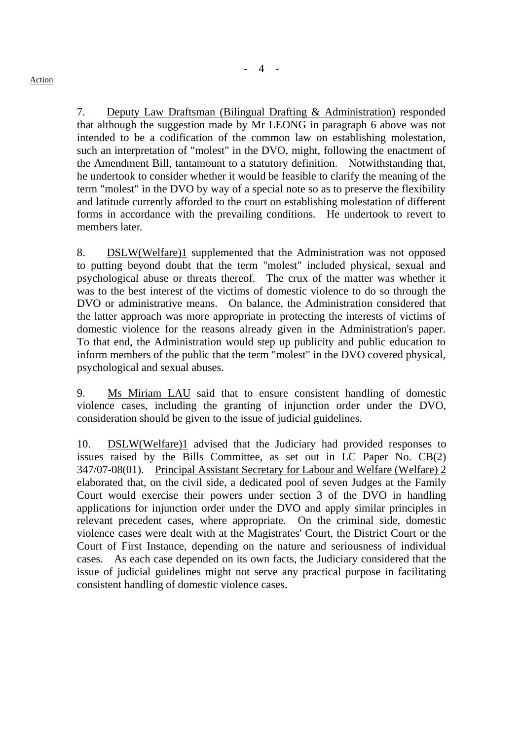7. Deputy Law Draftsman (Bilingual Drafting & Administration) responded that although the suggestion made by Mr LEONG in paragraph 6 above was not intended to be a codification of the common law on establishing molestation, such an interpretation of "molest" in the DVO, might, following the enactment of the Amendment Bill, tantamount to a statutory definition. Notwithstanding that, he undertook to consider whether it would be feasible to clarify the meaning of the term "molest" in the DVO by way of a special note so as to preserve the flexibility and latitude currently afforded to the court on establishing molestation of different forms in accordance with the prevailing conditions. He undertook to revert to members later.

8. DSLW(Welfare)1 supplemented that the Administration was not opposed to putting beyond doubt that the term "molest" included physical, sexual and psychological abuse or threats thereof. The crux of the matter was whether it was to the best interest of the victims of domestic violence to do so through the DVO or administrative means. On balance, the Administration considered that the latter approach was more appropriate in protecting the interests of victims of domestic violence for the reasons already given in the Administration's paper. To that end, the Administration would step up publicity and public education to inform members of the public that the term "molest" in the DVO covered physical, psychological and sexual abuses.

9. Ms Miriam LAU said that to ensure consistent handling of domestic violence cases, including the granting of injunction order under the DVO, consideration should be given to the issue of judicial guidelines.

10. DSLW(Welfare)1 advised that the Judiciary had provided responses to issues raised by the Bills Committee, as set out in LC Paper No. CB(2) 347/07-08(01). Principal Assistant Secretary for Labour and Welfare (Welfare) 2 elaborated that, on the civil side, a dedicated pool of seven Judges at the Family Court would exercise their powers under section 3 of the DVO in handling applications for injunction order under the DVO and apply similar principles in relevant precedent cases, where appropriate. On the criminal side, domestic violence cases were dealt with at the Magistrates' Court, the District Court or the Court of First Instance, depending on the nature and seriousness of individual cases. As each case depended on its own facts, the Judiciary considered that the issue of judicial guidelines might not serve any practical purpose in facilitating consistent handling of domestic violence cases.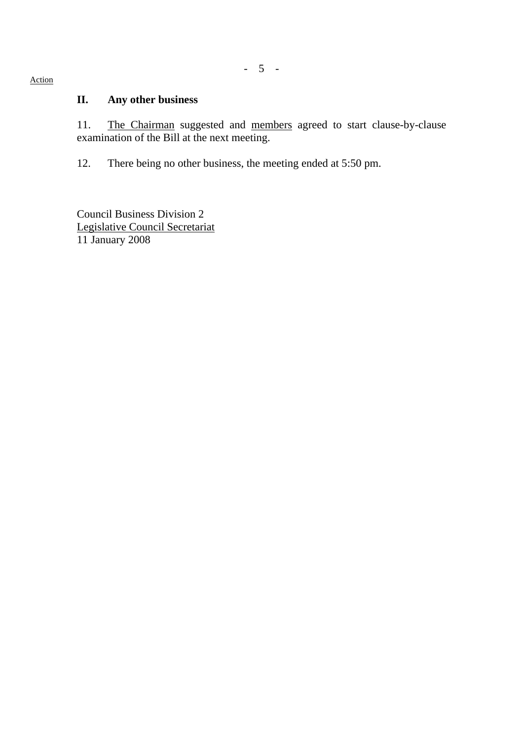### **II. Any other business**

11. The Chairman suggested and members agreed to start clause-by-clause examination of the Bill at the next meeting.

12. There being no other business, the meeting ended at 5:50 pm.

Council Business Division 2 Legislative Council Secretariat 11 January 2008

Action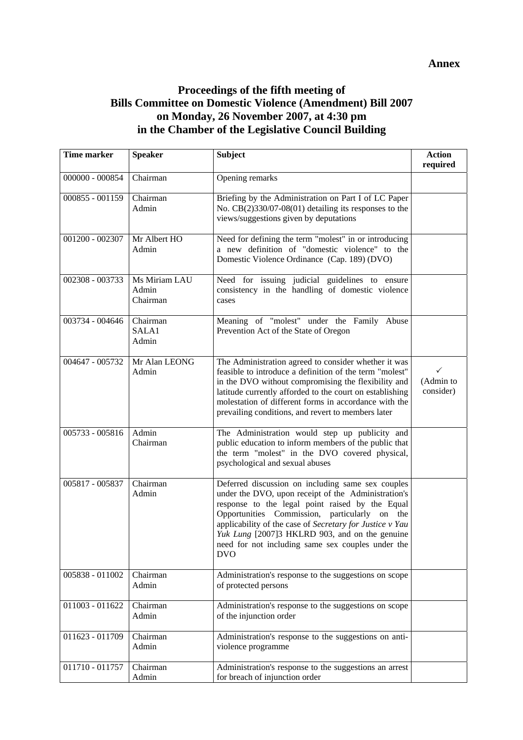### **Proceedings of the fifth meeting of Bills Committee on Domestic Violence (Amendment) Bill 2007 on Monday, 26 November 2007, at 4:30 pm in the Chamber of the Legislative Council Building**

| <b>Time marker</b> | <b>Speaker</b>                     | <b>Subject</b>                                                                                                                                                                                                                                                                                                                                                                                | <b>Action</b><br>required   |
|--------------------|------------------------------------|-----------------------------------------------------------------------------------------------------------------------------------------------------------------------------------------------------------------------------------------------------------------------------------------------------------------------------------------------------------------------------------------------|-----------------------------|
| $000000 - 000854$  | Chairman                           | Opening remarks                                                                                                                                                                                                                                                                                                                                                                               |                             |
| 000855 - 001159    | Chairman<br>Admin                  | Briefing by the Administration on Part I of LC Paper<br>No. CB(2)330/07-08(01) detailing its responses to the<br>views/suggestions given by deputations                                                                                                                                                                                                                                       |                             |
| 001200 - 002307    | Mr Albert HO<br>Admin              | Need for defining the term "molest" in or introducing<br>a new definition of "domestic violence" to the<br>Domestic Violence Ordinance (Cap. 189) (DVO)                                                                                                                                                                                                                                       |                             |
| 002308 - 003733    | Ms Miriam LAU<br>Admin<br>Chairman | Need for issuing judicial guidelines to ensure<br>consistency in the handling of domestic violence<br>cases                                                                                                                                                                                                                                                                                   |                             |
| 003734 - 004646    | Chairman<br>SALA1<br>Admin         | Meaning of "molest" under the Family Abuse<br>Prevention Act of the State of Oregon                                                                                                                                                                                                                                                                                                           |                             |
| 004647 - 005732    | Mr Alan LEONG<br>Admin             | The Administration agreed to consider whether it was<br>feasible to introduce a definition of the term "molest"<br>in the DVO without compromising the flexibility and<br>latitude currently afforded to the court on establishing<br>molestation of different forms in accordance with the<br>prevailing conditions, and revert to members later                                             | ✓<br>(Admin to<br>consider) |
| 005733 - 005816    | Admin<br>Chairman                  | The Administration would step up publicity and<br>public education to inform members of the public that<br>the term "molest" in the DVO covered physical,<br>psychological and sexual abuses                                                                                                                                                                                                  |                             |
| 005817 - 005837    | Chairman<br>Admin                  | Deferred discussion on including same sex couples<br>under the DVO, upon receipt of the Administration's<br>response to the legal point raised by the Equal<br>Opportunities Commission, particularly on the<br>applicability of the case of Secretary for Justice v Yau<br>Yuk Lung [2007]3 HKLRD 903, and on the genuine<br>need for not including same sex couples under the<br><b>DVO</b> |                             |
| 005838 - 011002    | Chairman<br>Admin                  | Administration's response to the suggestions on scope<br>of protected persons                                                                                                                                                                                                                                                                                                                 |                             |
| 011003 - 011622    | Chairman<br>Admin                  | Administration's response to the suggestions on scope<br>of the injunction order                                                                                                                                                                                                                                                                                                              |                             |
| 011623 - 011709    | Chairman<br>Admin                  | Administration's response to the suggestions on anti-<br>violence programme                                                                                                                                                                                                                                                                                                                   |                             |
| 011710 - 011757    | Chairman<br>Admin                  | Administration's response to the suggestions an arrest<br>for breach of injunction order                                                                                                                                                                                                                                                                                                      |                             |